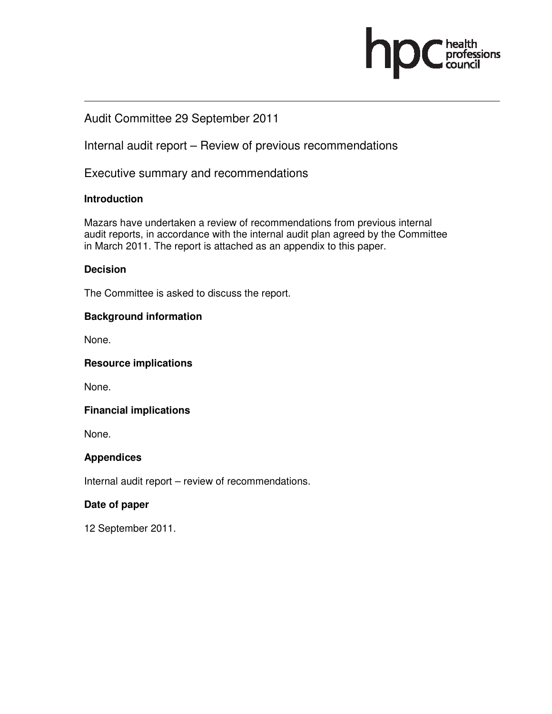# Audit Committee 29 September 2011

Internal audit report – Review of previous recommendations

Executive summary and recommendations

## **Introduction**

Mazars have undertaken a review of recommendations from previous internal audit reports, in accordance with the internal audit plan agreed by the Committee in March 2011. The report is attached as an appendix to this paper.

ofessions

### **Decision**

The Committee is asked to discuss the report.

### **Background information**

None.

### **Resource implications**

None.

## **Financial implications**

None.

## **Appendices**

Internal audit report – review of recommendations.

### **Date of paper**

12 September 2011.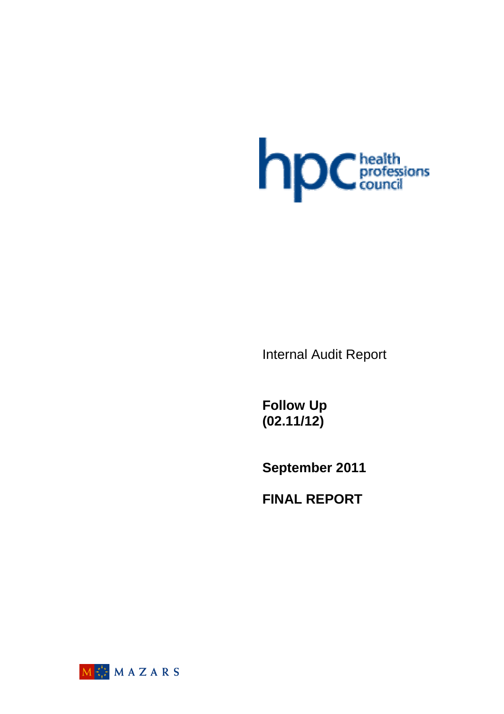

Internal Audit Report

**Follow Up (02.11/12)** 

**September 2011** 

**FINAL REPORT** 

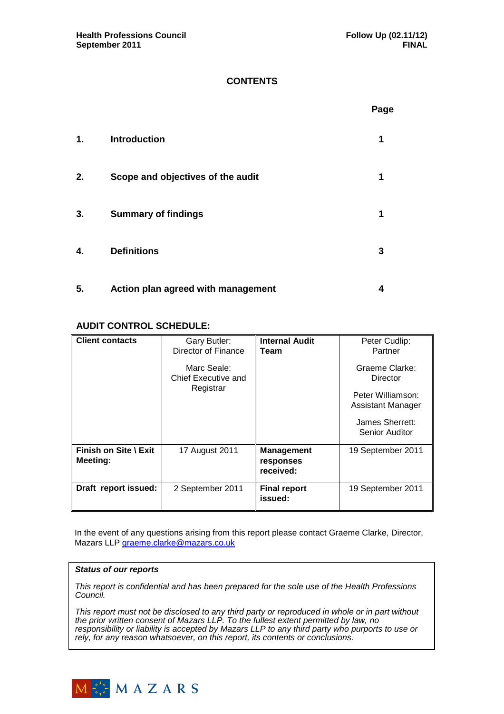### **CONTENTS**

|    |                                    | Page |
|----|------------------------------------|------|
| 1. | <b>Introduction</b>                | 1    |
| 2. | Scope and objectives of the audit  | 1    |
| 3. | <b>Summary of findings</b>         | 1    |
| 4. | <b>Definitions</b>                 | 3    |
| 5. | Action plan agreed with management | 4    |

### **AUDIT CONTROL SCHEDULE:**

| <b>Client contacts</b>                   | Gary Butler:<br>Director of Finance | <b>Internal Audit</b><br>Team               | Peter Cudlip:<br>Partner               |
|------------------------------------------|-------------------------------------|---------------------------------------------|----------------------------------------|
|                                          | Marc Seale:<br>Chief Executive and  |                                             | Graeme Clarke:<br>Director             |
|                                          | Registrar                           |                                             | Peter Williamson:<br>Assistant Manager |
|                                          |                                     |                                             | James Sherrett:<br>Senior Auditor      |
| Finish on Site \ Exit<br><b>Meeting:</b> | 17 August 2011                      | <b>Management</b><br>responses<br>received: | 19 September 2011                      |
| Draft report issued:                     | 2 September 2011                    | <b>Final report</b><br>issued:              | 19 September 2011                      |

In the event of any questions arising from this report please contact Graeme Clarke, Director, Mazars LLP graeme.clarke@mazars.co.uk

#### **Status of our reports**

This report is confidential and has been prepared for the sole use of the Health Professions Council.

This report must not be disclosed to any third party or reproduced in whole or in part without the prior written consent of Mazars LLP. To the fullest extent permitted by law, no responsibility or liability is accepted by Mazars LLP to any third party who purports to use or rely, for any reason whatsoever, on this report, its contents or conclusions.

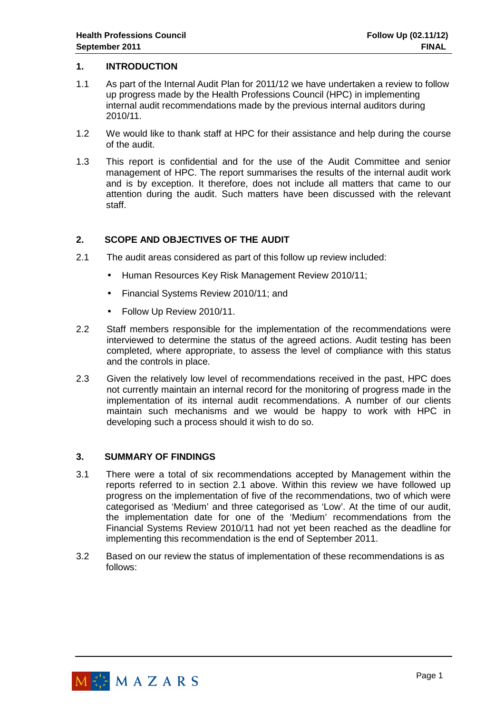#### **1. INTRODUCTION**

- 1.1 As part of the Internal Audit Plan for 2011/12 we have undertaken a review to follow up progress made by the Health Professions Council (HPC) in implementing internal audit recommendations made by the previous internal auditors during 2010/11.
- 1.2 We would like to thank staff at HPC for their assistance and help during the course of the audit.
- 1.3 This report is confidential and for the use of the Audit Committee and senior management of HPC. The report summarises the results of the internal audit work and is by exception. It therefore, does not include all matters that came to our attention during the audit. Such matters have been discussed with the relevant staff.

### **2. SCOPE AND OBJECTIVES OF THE AUDIT**

- 2.1 The audit areas considered as part of this follow up review included:
	- Human Resources Key Risk Management Review 2010/11;
	- Financial Systems Review 2010/11; and
	- Follow Up Review 2010/11.
- 2.2 Staff members responsible for the implementation of the recommendations were interviewed to determine the status of the agreed actions. Audit testing has been completed, where appropriate, to assess the level of compliance with this status and the controls in place.
- 2.3 Given the relatively low level of recommendations received in the past, HPC does not currently maintain an internal record for the monitoring of progress made in the implementation of its internal audit recommendations. A number of our clients maintain such mechanisms and we would be happy to work with HPC in developing such a process should it wish to do so.

#### **3. SUMMARY OF FINDINGS**

- 3.1 There were a total of six recommendations accepted by Management within the reports referred to in section 2.1 above. Within this review we have followed up progress on the implementation of five of the recommendations, two of which were categorised as 'Medium' and three categorised as 'Low'. At the time of our audit, the implementation date for one of the 'Medium' recommendations from the Financial Systems Review 2010/11 had not yet been reached as the deadline for implementing this recommendation is the end of September 2011.
- 3.2 Based on our review the status of implementation of these recommendations is as follows:

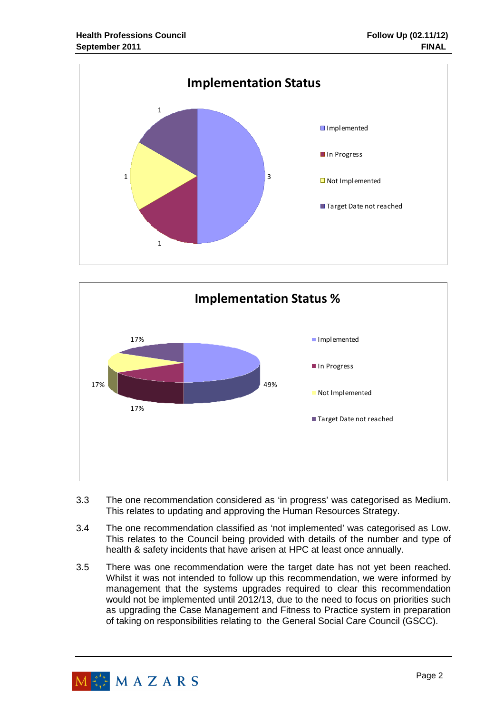



- 3.3 The one recommendation considered as 'in progress' was categorised as Medium. This relates to updating and approving the Human Resources Strategy.
- 3.4 The one recommendation classified as 'not implemented' was categorised as Low. This relates to the Council being provided with details of the number and type of health & safety incidents that have arisen at HPC at least once annually.
- 3.5 There was one recommendation were the target date has not yet been reached. Whilst it was not intended to follow up this recommendation, we were informed by management that the systems upgrades required to clear this recommendation would not be implemented until 2012/13, due to the need to focus on priorities such as upgrading the Case Management and Fitness to Practice system in preparation of taking on responsibilities relating to the General Social Care Council (GSCC).

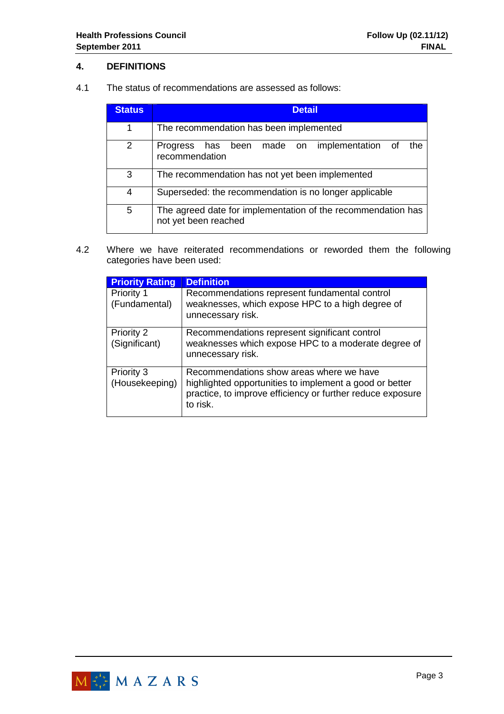### **4. DEFINITIONS**

4.1 The status of recommendations are assessed as follows:

| <b>Status</b> | <b>Detail</b>                                                                        |  |  |  |  |  |  |  |  |  |
|---------------|--------------------------------------------------------------------------------------|--|--|--|--|--|--|--|--|--|
| 1             | The recommendation has been implemented                                              |  |  |  |  |  |  |  |  |  |
| 2             | has been made on implementation of<br>the<br>Progress<br>recommendation              |  |  |  |  |  |  |  |  |  |
| 3             | The recommendation has not yet been implemented                                      |  |  |  |  |  |  |  |  |  |
| 4             | Superseded: the recommendation is no longer applicable                               |  |  |  |  |  |  |  |  |  |
| 5             | The agreed date for implementation of the recommendation has<br>not yet been reached |  |  |  |  |  |  |  |  |  |

4.2 Where we have reiterated recommendations or reworded them the following categories have been used:

| <b>Priority Rating</b>             | <b>Definition</b>                                                                                                                                                             |
|------------------------------------|-------------------------------------------------------------------------------------------------------------------------------------------------------------------------------|
| <b>Priority 1</b><br>(Fundamental) | Recommendations represent fundamental control<br>weaknesses, which expose HPC to a high degree of<br>unnecessary risk.                                                        |
| Priority 2<br>(Significant)        | Recommendations represent significant control<br>weaknesses which expose HPC to a moderate degree of<br>unnecessary risk.                                                     |
| Priority 3<br>(Housekeeping)       | Recommendations show areas where we have<br>highlighted opportunities to implement a good or better<br>practice, to improve efficiency or further reduce exposure<br>to risk. |

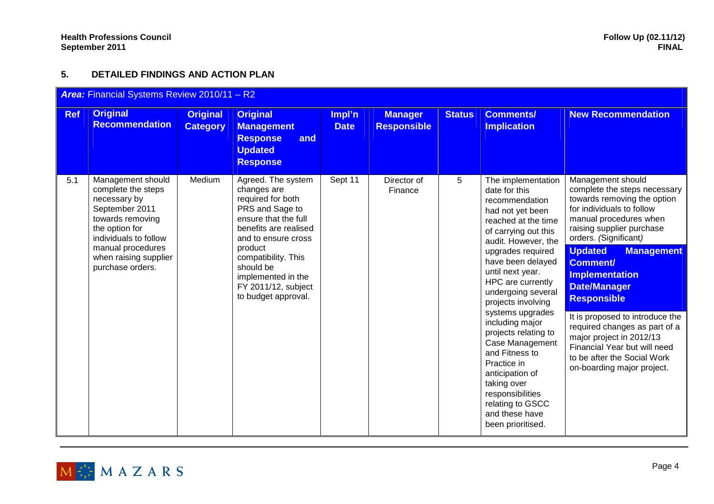## **5. DETAILED FINDINGS AND ACTION PLAN**

| Area: Financial Systems Review 2010/11 - R2 |                                                                                                                                                                                                            |                                    |                                                                                                                                                                                                                                                                      |                       |                                      |               |                                                                                                                                                                                                                                                                                                                                                                                                                                                                                                                    |                                                                                                                                                                                                                                                                                                                                                                                                                                                                                                                            |
|---------------------------------------------|------------------------------------------------------------------------------------------------------------------------------------------------------------------------------------------------------------|------------------------------------|----------------------------------------------------------------------------------------------------------------------------------------------------------------------------------------------------------------------------------------------------------------------|-----------------------|--------------------------------------|---------------|--------------------------------------------------------------------------------------------------------------------------------------------------------------------------------------------------------------------------------------------------------------------------------------------------------------------------------------------------------------------------------------------------------------------------------------------------------------------------------------------------------------------|----------------------------------------------------------------------------------------------------------------------------------------------------------------------------------------------------------------------------------------------------------------------------------------------------------------------------------------------------------------------------------------------------------------------------------------------------------------------------------------------------------------------------|
| <b>Ref</b>                                  | <b>Original</b><br><b>Recommendation</b>                                                                                                                                                                   | <b>Original</b><br><b>Category</b> | <b>Original</b><br><b>Management</b><br><b>Response</b><br>and<br><b>Updated</b><br><b>Response</b>                                                                                                                                                                  | Impl'n<br><b>Date</b> | <b>Manager</b><br><b>Responsible</b> | <b>Status</b> | <b>Comments/</b><br><b>Implication</b>                                                                                                                                                                                                                                                                                                                                                                                                                                                                             | <b>New Recommendation</b>                                                                                                                                                                                                                                                                                                                                                                                                                                                                                                  |
| 5.1                                         | Management should<br>complete the steps<br>necessary by<br>September 2011<br>towards removing<br>the option for<br>individuals to follow<br>manual procedures<br>when raising supplier<br>purchase orders. | Medium                             | Agreed. The system<br>changes are<br>required for both<br>PRS and Sage to<br>ensure that the full<br>benefits are realised<br>and to ensure cross<br>product<br>compatibility. This<br>should be<br>implemented in the<br>FY 2011/12, subject<br>to budget approval. | Sept 11               | Director of<br>Finance               | 5             | The implementation<br>date for this<br>recommendation<br>had not yet been<br>reached at the time<br>of carrying out this<br>audit. However, the<br>upgrades required<br>have been delayed<br>until next year.<br>HPC are currently<br>undergoing several<br>projects involving<br>systems upgrades<br>including major<br>projects relating to<br>Case Management<br>and Fitness to<br>Practice in<br>anticipation of<br>taking over<br>responsibilities<br>relating to GSCC<br>and these have<br>been prioritised. | Management should<br>complete the steps necessary<br>towards removing the option<br>for individuals to follow<br>manual procedures when<br>raising supplier purchase<br>orders. (Significant)<br><b>Updated</b><br><b>Management</b><br><b>Comment/</b><br><b>Implementation</b><br><b>Date/Manager</b><br><b>Responsible</b><br>It is proposed to introduce the<br>required changes as part of a<br>major project in 2012/13<br>Financial Year but will need<br>to be after the Social Work<br>on-boarding major project. |

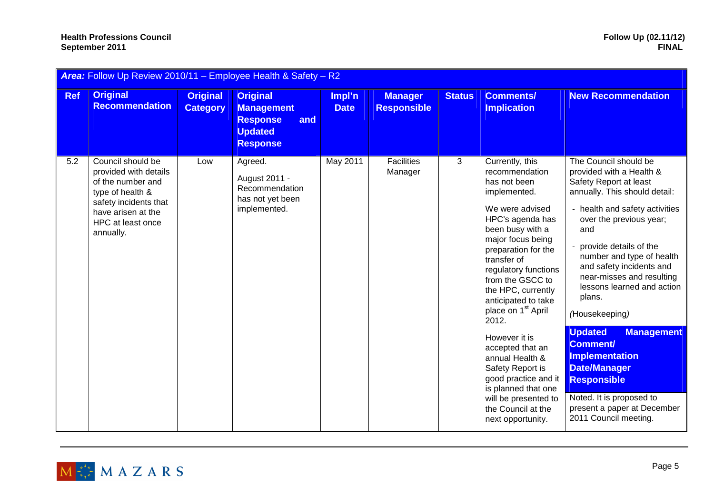#### **Health Professions Council<br>September 2011 September 2011 FINAL**

| Area: Follow Up Review 2010/11 - Employee Health & Safety - R2 |                                                                                                                                                                      |                                    |                                                                                                     |                       |                                      |               |                                                                                                                                                                                                                                                                                                                                                                                                                                                                                                                           |                                                                                                                                                                                                                                                                                                                                                                                                                                                                                                                                                                                |
|----------------------------------------------------------------|----------------------------------------------------------------------------------------------------------------------------------------------------------------------|------------------------------------|-----------------------------------------------------------------------------------------------------|-----------------------|--------------------------------------|---------------|---------------------------------------------------------------------------------------------------------------------------------------------------------------------------------------------------------------------------------------------------------------------------------------------------------------------------------------------------------------------------------------------------------------------------------------------------------------------------------------------------------------------------|--------------------------------------------------------------------------------------------------------------------------------------------------------------------------------------------------------------------------------------------------------------------------------------------------------------------------------------------------------------------------------------------------------------------------------------------------------------------------------------------------------------------------------------------------------------------------------|
| <b>Ref</b>                                                     | <b>Original</b><br><b>Recommendation</b>                                                                                                                             | <b>Original</b><br><b>Category</b> | <b>Original</b><br><b>Management</b><br><b>Response</b><br>and<br><b>Updated</b><br><b>Response</b> | Impl'n<br><b>Date</b> | <b>Manager</b><br><b>Responsible</b> | <b>Status</b> | <b>Comments/</b><br><b>Implication</b>                                                                                                                                                                                                                                                                                                                                                                                                                                                                                    | <b>New Recommendation</b>                                                                                                                                                                                                                                                                                                                                                                                                                                                                                                                                                      |
| 5.2                                                            | Council should be<br>provided with details<br>of the number and<br>type of health &<br>safety incidents that<br>have arisen at the<br>HPC at least once<br>annually. | Low                                | Agreed.<br>August 2011 -<br>Recommendation<br>has not yet been<br>implemented.                      | May 2011              | Facilities<br>Manager                | 3             | Currently, this<br>recommendation<br>has not been<br>implemented.<br>We were advised<br>HPC's agenda has<br>been busy with a<br>major focus being<br>preparation for the<br>transfer of<br>regulatory functions<br>from the GSCC to<br>the HPC, currently<br>anticipated to take<br>place on 1 <sup>st</sup> April<br>2012.<br>However it is<br>accepted that an<br>annual Health &<br>Safety Report is<br>good practice and it<br>is planned that one<br>will be presented to<br>the Council at the<br>next opportunity. | The Council should be<br>provided with a Health &<br>Safety Report at least<br>annually. This should detail:<br>- health and safety activities<br>over the previous year;<br>and<br>provide details of the<br>number and type of health<br>and safety incidents and<br>near-misses and resulting<br>lessons learned and action<br>plans.<br>(Housekeeping)<br><b>Updated</b><br><b>Management</b><br><b>Comment/</b><br><b>Implementation</b><br><b>Date/Manager</b><br><b>Responsible</b><br>Noted. It is proposed to<br>present a paper at December<br>2011 Council meeting. |